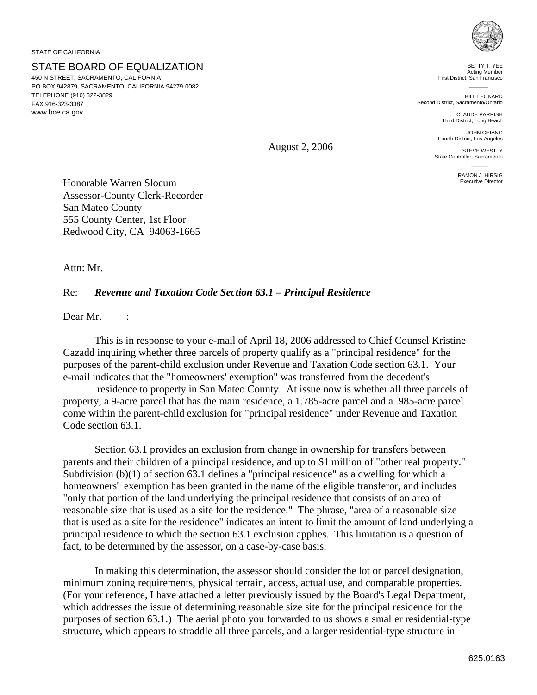<www.boe.ca.gov>

STATE BOARD OF EQUALIZATION 450 N STREET, SACRAMENTO, CALIFORNIA PO BOX 942879, SACRAMENTO, CALIFORNIA 94279-0082 TELEPHONE (916) 322-3829 FAX 916-323-3387



BETTY T. YEE Acting Member First District, San Francisco

BILL LEONARD Second District, Sacramento/Ontario

> CLAUDE PARRISH Third District, Long Beach

JOHN CHIANG Fourth District, Los Angeles

STEVE WESTLY State Controller, Sacramento

> RAMON J. HIRSIG Executive Director

Honorable Warren Slocum Assessor-County Clerk-Recorder San Mateo County 555 County Center, 1st Floor Redwood City, CA 94063-1665

Attn: Mr.

## Re: *Revenue and Taxation Code Section 63.1 – Principal Residence*

Dear Mr. :

This is in response to your e-mail of April 18, 2006 addressed to Chief Counsel Kristine Cazadd inquiring whether three parcels of property qualify as a "principal residence" for the purposes of the parent-child exclusion under Revenue and Taxation Code section 63.1. Your e-mail indicates that the "homeowners' exemption" was transferred from the decedent's

 residence to property in San Mateo County. At issue now is whether all three parcels of property, a 9-acre parcel that has the main residence, a 1.785-acre parcel and a .985-acre parcel come within the parent-child exclusion for "principal residence" under Revenue and Taxation Code section 63.1.

Section 63.1 provides an exclusion from change in ownership for transfers between parents and their children of a principal residence, and up to \$1 million of "other real property." Subdivision (b)(1) of section 63.1 defines a "principal residence" as a dwelling for which a homeowners' exemption has been granted in the name of the eligible transferor, and includes "only that portion of the land underlying the principal residence that consists of an area of reasonable size that is used as a site for the residence." The phrase, "area of a reasonable size that is used as a site for the residence" indicates an intent to limit the amount of land underlying a principal residence to which the section 63.1 exclusion applies. This limitation is a question of fact, to be determined by the assessor, on a case-by-case basis.

In making this determination, the assessor should consider the lot or parcel designation, minimum zoning requirements, physical terrain, access, actual use, and comparable properties. (For your reference, I have attached a letter previously issued by the Board's Legal Department, which addresses the issue of determining reasonable size site for the principal residence for the purposes of section 63.1.) The aerial photo you forwarded to us shows a smaller residential-type structure, which appears to straddle all three parcels, and a larger residential-type structure in

August 2, 2006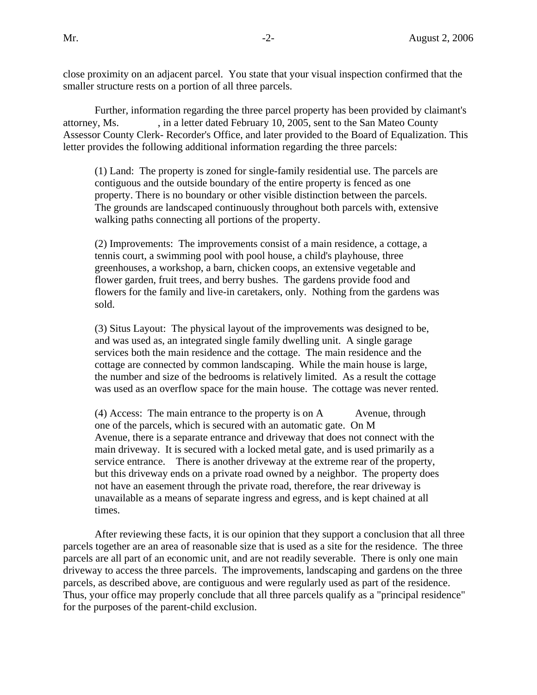close proximity on an adjacent parcel. You state that your visual inspection confirmed that the smaller structure rests on a portion of all three parcels.

Further, information regarding the three parcel property has been provided by claimant's attorney, Ms. , in a letter dated February 10, 2005, sent to the San Mateo County Assessor County Clerk- Recorder's Office, and later provided to the Board of Equalization. This letter provides the following additional information regarding the three parcels:

(1) Land: The property is zoned for single-family residential use. The parcels are contiguous and the outside boundary of the entire property is fenced as one property. There is no boundary or other visible distinction between the parcels. The grounds are landscaped continuously throughout both parcels with, extensive walking paths connecting all portions of the property.

(2) Improvements: The improvements consist of a main residence, a cottage, a tennis court, a swimming pool with pool house, a child's playhouse, three greenhouses, a workshop, a barn, chicken coops, an extensive vegetable and flower garden, fruit trees, and berry bushes. The gardens provide food and flowers for the family and live-in caretakers, only. Nothing from the gardens was sold.

(3) Situs Layout: The physical layout of the improvements was designed to be, and was used as, an integrated single family dwelling unit. A single garage services both the main residence and the cottage. The main residence and the cottage are connected by common landscaping. While the main house is large, the number and size of the bedrooms is relatively limited. As a result the cottage was used as an overflow space for the main house. The cottage was never rented.

 $(4)$  Access: The main entrance to the property is on A Avenue, through one of the parcels, which is secured with an automatic gate. On M Avenue, there is a separate entrance and driveway that does not connect with the main driveway. It is secured with a locked metal gate, and is used primarily as a service entrance. There is another driveway at the extreme rear of the property, but this driveway ends on a private road owned by a neighbor. The property does not have an easement through the private road, therefore, the rear driveway is unavailable as a means of separate ingress and egress, and is kept chained at all times.

After reviewing these facts, it is our opinion that they support a conclusion that all three parcels together are an area of reasonable size that is used as a site for the residence. The three parcels are all part of an economic unit, and are not readily severable. There is only one main driveway to access the three parcels. The improvements, landscaping and gardens on the three parcels, as described above, are contiguous and were regularly used as part of the residence. Thus, your office may properly conclude that all three parcels qualify as a "principal residence" for the purposes of the parent-child exclusion.